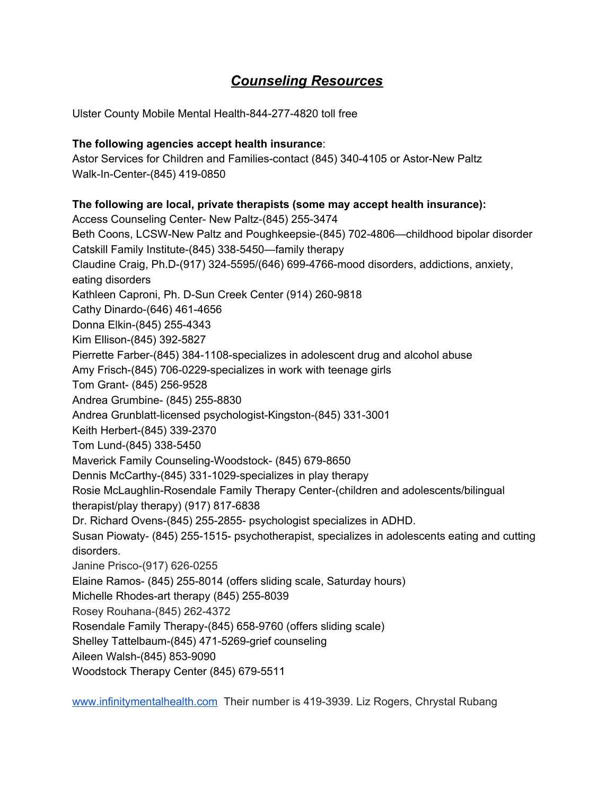# *Counseling Resources*

Ulster County Mobile Mental Health-844-277-4820 toll free

# **The following agencies accept health insurance**:

Astor Services for Children and Families-contact (845) 340-4105 or Astor-New Paltz Walk-In-Center-(845) 419-0850

# **The following are local, private therapists (some may accept health insurance):**

Access Counseling Center- New Paltz-(845) 255-3474 Beth Coons, LCSW-New Paltz and Poughkeepsie-(845) 702-4806—childhood bipolar disorder Catskill Family Institute-(845) 338-5450—family therapy Claudine Craig, Ph.D-(917) 324-5595/(646) 699-4766-mood disorders, addictions, anxiety, eating disorders Kathleen Caproni, Ph. D-Sun Creek Center (914) 260-9818 Cathy Dinardo-(646) 461-4656 Donna Elkin-(845) 255-4343 Kim Ellison-(845) 392-5827 Pierrette Farber-(845) 384-1108-specializes in adolescent drug and alcohol abuse Amy Frisch-(845) 706-0229-specializes in work with teenage girls Tom Grant- (845) 256-9528 Andrea Grumbine- (845) 255-8830 Andrea Grunblatt-licensed psychologist-Kingston-(845) 331-3001 Keith Herbert-(845) 339-2370 Tom Lund-(845) 338-5450 Maverick Family Counseling-Woodstock- (845) 679-8650 Dennis McCarthy-(845) 331-1029-specializes in play therapy Rosie McLaughlin-Rosendale Family Therapy Center-(children and adolescents/bilingual therapist/play therapy) (917) 817-6838 Dr. Richard Ovens-(845) 255-2855- psychologist specializes in ADHD. Susan Piowaty- (845) 255-1515- psychotherapist, specializes in adolescents eating and cutting disorders. Janine Prisco-(917) 626-0255 Elaine Ramos- (845) 255-8014 (offers sliding scale, Saturday hours) Michelle Rhodes-art therapy (845) 255-8039 Rosey Rouhana-(845) 262-4372 Rosendale Family Therapy-(845) 658-9760 (offers sliding scale) Shelley Tattelbaum-(845) 471-5269-grief counseling Aileen Walsh-(845) 853-9090 Woodstock Therapy Center (845) 679-5511

[www.infinitymentalhealth.com](http://www.infinitymentalhealth.com/) Their number is 419-3939. Liz Rogers, Chrystal Rubang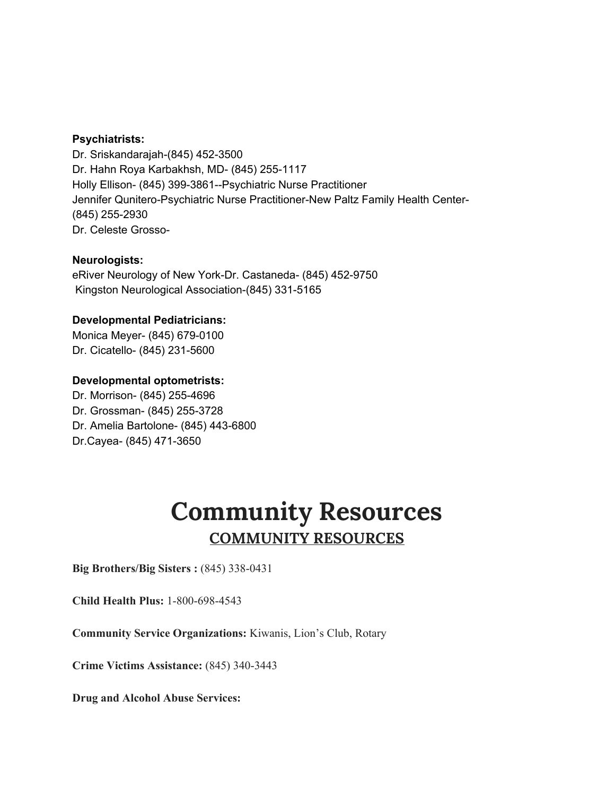## **Psychiatrists:**

Dr. Sriskandarajah-(845) 452-3500 Dr. Hahn Roya Karbakhsh, MD- (845) 255-1117 Holly Ellison- (845) 399-3861--Psychiatric Nurse Practitioner Jennifer Qunitero-Psychiatric Nurse Practitioner-New Paltz Family Health Center- (845) 255-2930 Dr. Celeste Grosso-

#### **Neurologists:**

eRiver Neurology of New York-Dr. Castaneda- (845) 452-9750 Kingston Neurological Association-(845) 331-5165

#### **Developmental Pediatricians:**

Monica Meyer- (845) 679-0100 Dr. Cicatello- (845) 231-5600

#### **Developmental optometrists:**

Dr. Morrison- (845) 255-4696 Dr. Grossman- (845) 255-3728 Dr. Amelia Bartolone- (845) 443-6800 Dr.Cayea- (845) 471-3650

# **Community Resources COMMUNITY RESOURCES**

**Big Brothers/Big Sisters :** (845) 338-0431

**Child Health Plus:** 1-800-698-4543

**Community Service Organizations:** Kiwanis, Lion's Club, Rotary

**Crime Victims Assistance:** (845) 340-3443

**Drug and Alcohol Abuse Services:**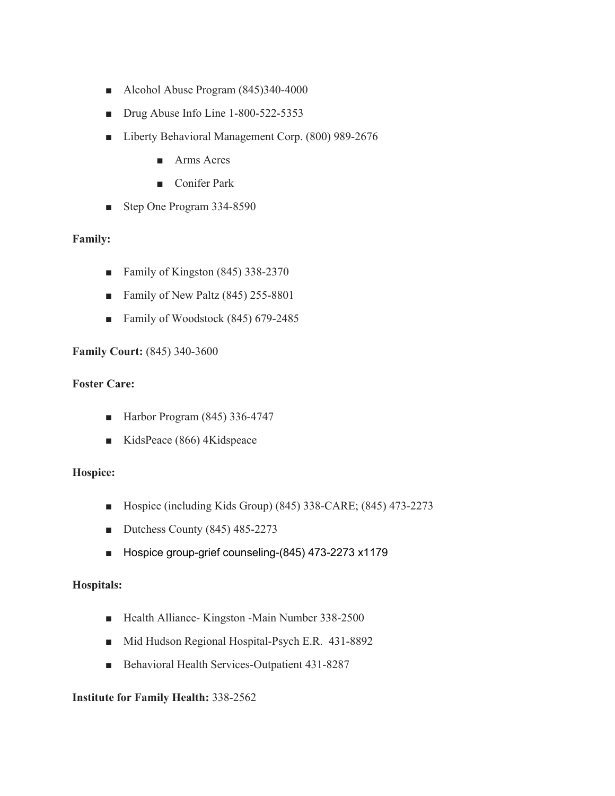- Alcohol Abuse Program (845)340-4000
- Drug Abuse Info Line 1-800-522-5353
- Liberty Behavioral Management Corp. (800) 989-2676
	- Arms Acres
	- Conifer Park
- Step One Program 334-8590

## **Family:**

- Family of Kingston (845) 338-2370
- Family of New Paltz (845) 255-8801
- Family of Woodstock (845) 679-2485

## **Family Court:** (845) 340-3600

#### **Foster Care:**

- Harbor Program (845) 336-4747
- KidsPeace (866) 4Kidspeace

## **Hospice:**

- Hospice (including Kids Group) (845) 338-CARE; (845) 473-2273
- Dutchess County (845) 485-2273
- Hospice group-grief counseling-(845) 473-2273 x1179

#### **Hospitals:**

- Health Alliance- Kingston -Main Number 338-2500
- Mid Hudson Regional Hospital-Psych E.R. 431-8892
- Behavioral Health Services-Outpatient 431-8287

## **Institute for Family Health:** 338-2562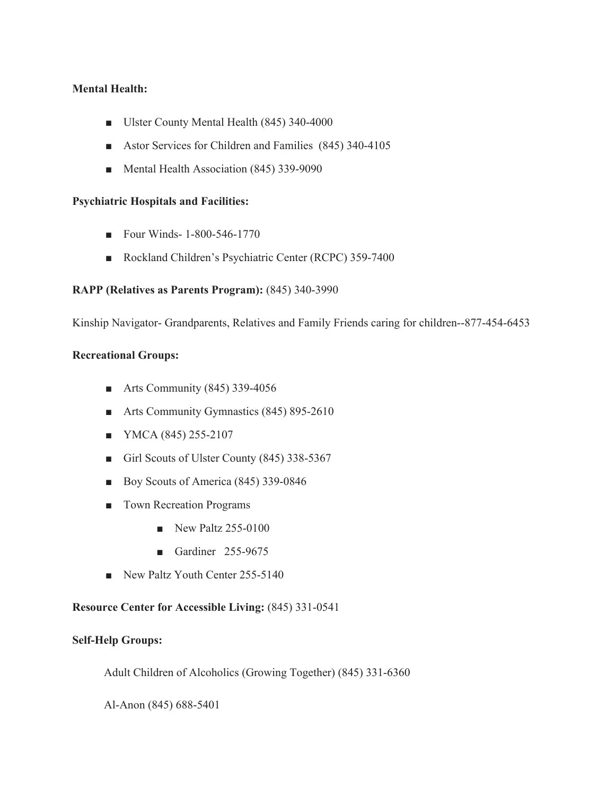## **Mental Health:**

- Ulster County Mental Health (845) 340-4000
- Astor Services for Children and Families (845) 340-4105
- Mental Health Association (845) 339-9090

### **Psychiatric Hospitals and Facilities:**

- Four Winds- 1-800-546-1770
- Rockland Children's Psychiatric Center (RCPC) 359-7400

#### **RAPP (Relatives as Parents Program):** (845) 340-3990

Kinship Navigator- Grandparents, Relatives and Family Friends caring for children--877-454-6453

#### **Recreational Groups:**

- Arts Community  $(845)$  339-4056
- Arts Community Gymnastics (845) 895-2610
- YMCA (845) 255-2107
- Girl Scouts of Ulster County (845) 338-5367
- Boy Scouts of America (845) 339-0846
- Town Recreation Programs
	- New Paltz 255-0100
	- Gardiner 255-9675
- New Paltz Youth Center 255-5140

## **Resource Center for Accessible Living:** (845) 331-0541

## **Self-Help Groups:**

Adult Children of Alcoholics (Growing Together) (845) 331-6360

Al-Anon (845) 688-5401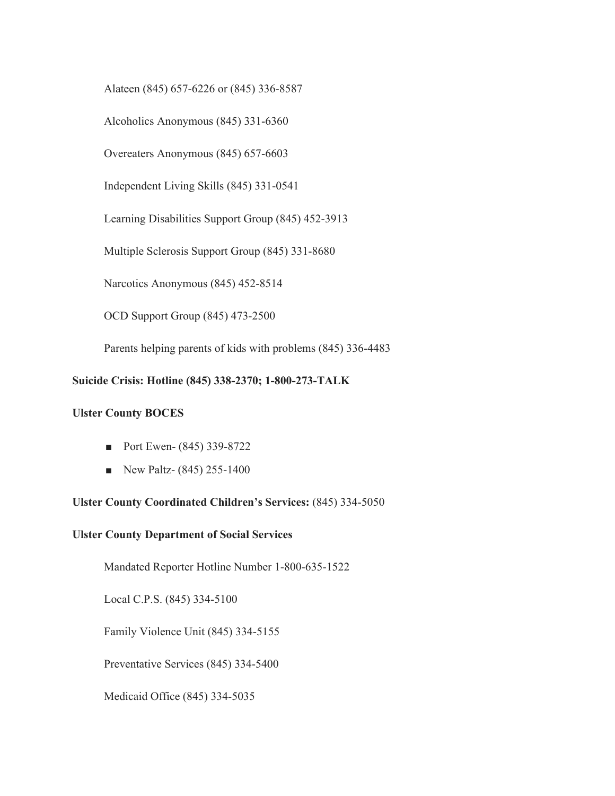Alateen (845) 657-6226 or (845) 336-8587

Alcoholics Anonymous (845) 331-6360

Overeaters Anonymous (845) 657-6603

Independent Living Skills (845) 331-0541

Learning Disabilities Support Group (845) 452-3913

Multiple Sclerosis Support Group (845) 331-8680

Narcotics Anonymous (845) 452-8514

OCD Support Group (845) 473-2500

Parents helping parents of kids with problems (845) 336-4483

#### **Suicide Crisis: Hotline (845) 338-2370; 1-800-273-TALK**

#### **Ulster County BOCES**

- Port Ewen- (845) 339-8722
- $\blacksquare$  New Paltz- (845) 255-1400

#### **Ulster County Coordinated Children's Services:** (845) 334-5050

#### **Ulster County Department of Social Services**

Mandated Reporter Hotline Number 1-800-635-1522

Local C.P.S. (845) 334-5100

Family Violence Unit (845) 334-5155

Preventative Services (845) 334-5400

Medicaid Office (845) 334-5035